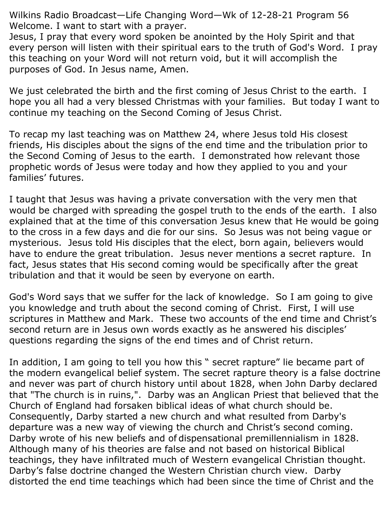Wilkins Radio Broadcast—Life Changing Word—Wk of 12-28-21 Program 56 Welcome. I want to start with a prayer.

Jesus, I pray that every word spoken be anointed by the Holy Spirit and that every person will listen with their spiritual ears to the truth of God's Word. I pray this teaching on your Word will not return void, but it will accomplish the purposes of God. In Jesus name, Amen.

We just celebrated the birth and the first coming of Jesus Christ to the earth. I hope you all had a very blessed Christmas with your families. But today I want to continue my teaching on the Second Coming of Jesus Christ.

To recap my last teaching was on Matthew 24, where Jesus told His closest friends, His disciples about the signs of the end time and the tribulation prior to the Second Coming of Jesus to the earth. I demonstrated how relevant those prophetic words of Jesus were today and how they applied to you and your families' futures.

I taught that Jesus was having a private conversation with the very men that would be charged with spreading the gospel truth to the ends of the earth. I also explained that at the time of this conversation Jesus knew that He would be going to the cross in a few days and die for our sins. So Jesus was not being vague or mysterious. Jesus told His disciples that the elect, born again, believers would have to endure the great tribulation. Jesus never mentions a secret rapture. In fact, Jesus states that His second coming would be specifically after the great tribulation and that it would be seen by everyone on earth.

God's Word says that we suffer for the lack of knowledge. So I am going to give you knowledge and truth about the second coming of Christ. First, I will use scriptures in Matthew and Mark. These two accounts of the end time and Christ's second return are in Jesus own words exactly as he answered his disciples' questions regarding the signs of the end times and of Christ return.

In addition, I am going to tell you how this " secret rapture" lie became part of the modern evangelical belief system. The secret rapture theory is a false doctrine and never was part of church history until about 1828, when John Darby declared that "The church is in ruins,". Darby was an Anglican Priest that believed that the Church of England had forsaken biblical ideas of what church should be. Consequently, Darby started a new church and what resulted from Darby's departure was a new way of viewing the church and Christ's second coming. Darby wrote of his new beliefs and of dispensational premillennialism in 1828. Although many of his theories are false and not based on historical Biblical teachings, they have infiltrated much of Western evangelical Christian thought. Darby's false doctrine changed the Western Christian church view. Darby distorted the end time teachings which had been since the time of Christ and the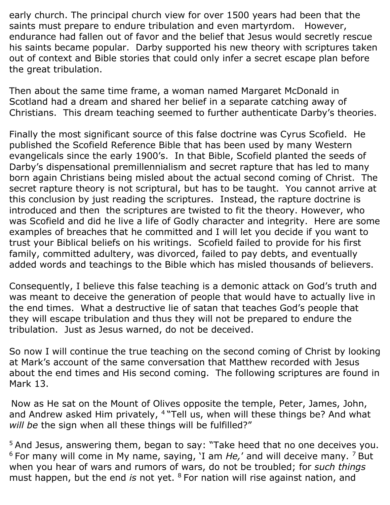early church. The principal church view for over 1500 years had been that the saints must prepare to endure tribulation and even martyrdom. However, endurance had fallen out of favor and the belief that Jesus would secretly rescue his saints became popular. Darby supported his new theory with scriptures taken out of context and Bible stories that could only infer a secret escape plan before the great tribulation.

Then about the same time frame, a woman named Margaret McDonald in Scotland had a dream and shared her belief in a separate catching away of Christians. This dream teaching seemed to further authenticate Darby's theories.

Finally the most significant source of this false doctrine was Cyrus Scofield. He published the Scofield Reference Bible that has been used by many Western evangelicals since the early 1900's. In that Bible, Scofield planted the seeds of Darby's dispensational premillennialism and secret rapture that has led to many born again Christians being misled about the actual second coming of Christ. The secret rapture theory is not scriptural, but has to be taught. You cannot arrive at this conclusion by just reading the scriptures. Instead, the rapture doctrine is introduced and then the scriptures are twisted to fit the theory. However, who was Scofield and did he live a life of Godly character and integrity. Here are some examples of breaches that he committed and I will let you decide if you want to trust your Biblical beliefs on his writings. Scofield failed to provide for his first family, committed adultery, was divorced, failed to pay debts, and eventually added words and teachings to the Bible which has misled thousands of believers.

Consequently, I believe this false teaching is a demonic attack on God's truth and was meant to deceive the generation of people that would have to actually live in the end times. What a destructive lie of satan that teaches God's people that they will escape tribulation and thus they will not be prepared to endure the tribulation. Just as Jesus warned, do not be deceived.

So now I will continue the true teaching on the second coming of Christ by looking at Mark's account of the same conversation that Matthew recorded with Jesus about the end times and His second coming. The following scriptures are found in Mark 13.

Now as He sat on the Mount of Olives opposite the temple, Peter, James, John, and Andrew asked Him privately, <sup>4</sup> "Tell us, when will these things be? And what *will be* the sign when all these things will be fulfilled?"

<sup>5</sup> And Jesus, answering them, began to say: "Take heed that no one deceives you. <sup>6</sup> For many will come in My name, saying, 'I am *He,*' and will deceive many. <sup>7</sup> But when you hear of wars and rumors of wars, do not be troubled; for *such things* must happen, but the end *is* not yet. <sup>8</sup> For nation will rise against nation, and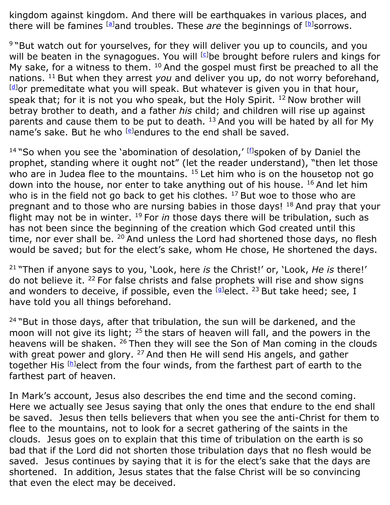kingdom against kingdom. And there will be earthquakes in various places, and there will be famines <sup>[\[a\]](https://www.biblegateway.com/passage/?search=mark%2013&version=NKJV#fen-NKJV-24726a)</sup>and troubles. These *are* the beginnings of <sup>[\[b\]](https://www.biblegateway.com/passage/?search=mark%2013&version=NKJV#fen-NKJV-24726b)</sup>sorrows.

<sup>9</sup> "But watch out for yourselves, for they will deliver you up to councils, and you will be beaten in the synagogues. You will  $[G]$ be brought before rulers and kings for My sake, for a witness to them.  $10$  And the gospel must first be preached to all the nations. <sup>11</sup> But when they arrest *you* and deliver you up, do not worry beforehand,  $[d]$ or premeditate what you will speak. But whatever is given you in that hour, speak that; for it is not you who speak, but the Holy Spirit.  $12$  Now brother will betray brother to death, and a father *his* child; and children will rise up against parents and cause them to be put to death. <sup>13</sup> And you will be hated by all for My name's sake. But he who [\[e\]](https://www.biblegateway.com/passage/?search=mark%2013&version=NKJV#fen-NKJV-24731e)endures to the end shall be saved.

<sup>14</sup> "So when you see the 'abomination of desolation,' [\[f\]](https://www.biblegateway.com/passage/?search=mark%2013&version=NKJV#fen-NKJV-24732f)spoken of by Daniel the prophet, standing where it ought not" (let the reader understand), "then let those who are in Judea flee to the mountains.  $15$  Let him who is on the housetop not go down into the house, nor enter to take anything out of his house. <sup>16</sup> And let him who is in the field not go back to get his clothes. <sup>17</sup> But woe to those who are pregnant and to those who are nursing babies in those days! <sup>18</sup> And pray that your flight may not be in winter. <sup>19</sup> For *in* those days there will be tribulation, such as has not been since the beginning of the creation which God created until this time, nor ever shall be.  $20$  And unless the Lord had shortened those days, no flesh would be saved; but for the elect's sake, whom He chose, He shortened the days.

<sup>21</sup> "Then if anyone says to you, 'Look, here *is* the Christ!' or, 'Look, *He is* there!' do not believe it. <sup>22</sup> For false christs and false prophets will rise and show signs and wonders to deceive, if possible, even the  $[4]$ elect. <sup>23</sup> But take heed; see, I have told you all things beforehand.

 $24$  "But in those days, after that tribulation, the sun will be darkened, and the moon will not give its light;  $25$  the stars of heaven will fall, and the powers in the heavens will be shaken. <sup>26</sup> Then they will see the Son of Man coming in the clouds with great power and glory. <sup>27</sup> And then He will send His angels, and gather together His [\[h\]](https://www.biblegateway.com/passage/?search=mark%2013&version=NKJV#fen-NKJV-24745h)elect from the four winds, from the farthest part of earth to the farthest part of heaven.

In Mark's account, Jesus also describes the end time and the second coming. Here we actually see Jesus saying that only the ones that endure to the end shall be saved. Jesus then tells believers that when you see the anti-Christ for them to flee to the mountains, not to look for a secret gathering of the saints in the clouds. Jesus goes on to explain that this time of tribulation on the earth is so bad that if the Lord did not shorten those tribulation days that no flesh would be saved. Jesus continues by saying that it is for the elect's sake that the days are shortened. In addition, Jesus states that the false Christ will be so convincing that even the elect may be deceived.